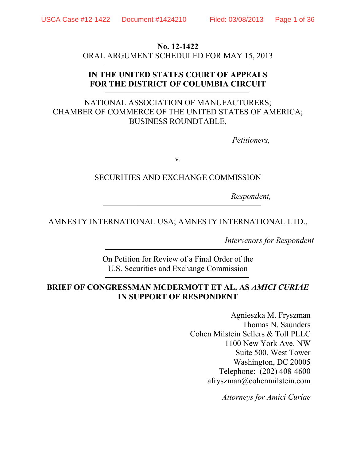#### **No. 12-1422**

ORAL ARGUMENT SCHEDULED FOR MAY 15, 2013

## **IN THE UNITED STATES COURT OF APPEALS FOR THE DISTRICT OF COLUMBIA CIRCUIT**

# NATIONAL ASSOCIATION OF MANUFACTURERS; CHAMBER OF COMMERCE OF THE UNITED STATES OF AMERICA; BUSINESS ROUNDTABLE,

*Petitioners,* 

v.

## SECURITIES AND EXCHANGE COMMISSION

*Respondent,*

# AMNESTY INTERNATIONAL USA; AMNESTY INTERNATIONAL LTD.,

*Intervenors for Respondent*

On Petition for Review of a Final Order of the U.S. Securities and Exchange Commission

# **BRIEF OF CONGRESSMAN MCDERMOTT ET AL. AS** *AMICI CURIAE* **IN SUPPORT OF RESPONDENT**

Agnieszka M. Fryszman Thomas N. Saunders Cohen Milstein Sellers & Toll PLLC 1100 New York Ave. NW Suite 500, West Tower Washington, DC 20005 Telephone: (202) 408-4600 afryszman@cohenmilstein.com

*Attorneys for Amici Curiae*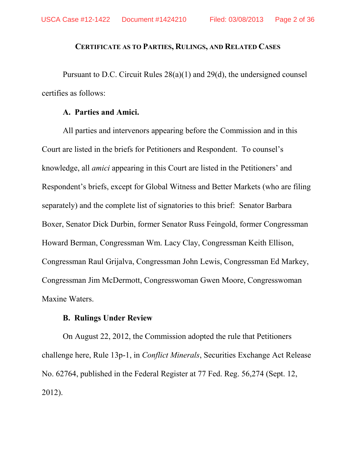### **CERTIFICATE AS TO PARTIES, RULINGS, AND RELATED CASES**

Pursuant to D.C. Circuit Rules 28(a)(1) and 29(d), the undersigned counsel certifies as follows:

#### **A. Parties and Amici.**

All parties and intervenors appearing before the Commission and in this Court are listed in the briefs for Petitioners and Respondent. To counsel's knowledge, all *amici* appearing in this Court are listed in the Petitioners' and Respondent's briefs, except for Global Witness and Better Markets (who are filing separately) and the complete list of signatories to this brief: Senator Barbara Boxer, Senator Dick Durbin, former Senator Russ Feingold, former Congressman Howard Berman, Congressman Wm. Lacy Clay, Congressman Keith Ellison, Congressman Raul Grijalva, Congressman John Lewis, Congressman Ed Markey, Congressman Jim McDermott, Congresswoman Gwen Moore, Congresswoman Maxine Waters.

#### **B. Rulings Under Review**

On August 22, 2012, the Commission adopted the rule that Petitioners challenge here, Rule 13p-1, in *Conflict Minerals*, Securities Exchange Act Release No. 62764, published in the Federal Register at 77 Fed. Reg. 56,274 (Sept. 12, 2012).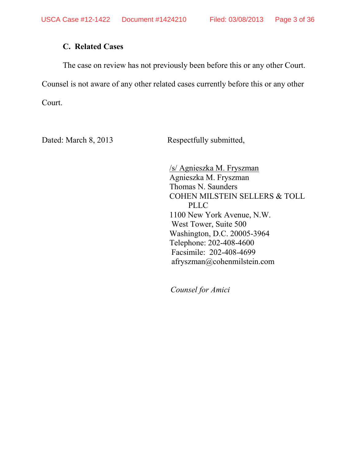# **C. Related Cases**

The case on review has not previously been before this or any other Court.

Counsel is not aware of any other related cases currently before this or any other

Court.

Dated: March 8, 2013 Respectfully submitted,

/s/ Agnieszka M. Fryszman Agnieszka M. Fryszman Thomas N. Saunders COHEN MILSTEIN SELLERS & TOLL PLLC 1100 New York Avenue, N.W. West Tower, Suite 500 Washington, D.C. 20005-3964 Telephone: 202-408-4600 Facsimile: 202-408-4699 afryszman@cohenmilstein.com

 *Counsel for Amici*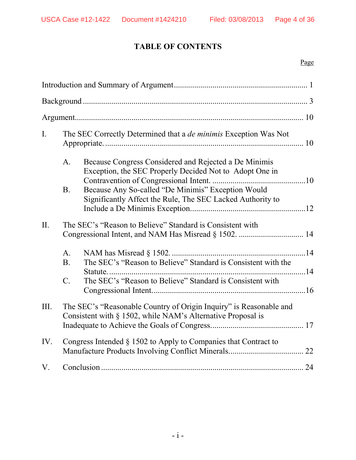# **TABLE OF CONTENTS**

## Page

| I.   | The SEC Correctly Determined that a <i>de minimis</i> Exception Was Not                                                           |                                                                                                                  |  |  |
|------|-----------------------------------------------------------------------------------------------------------------------------------|------------------------------------------------------------------------------------------------------------------|--|--|
|      | A.                                                                                                                                | Because Congress Considered and Rejected a De Minimis<br>Exception, the SEC Properly Decided Not to Adopt One in |  |  |
|      | <b>B</b> .                                                                                                                        | Because Any So-called "De Minimis" Exception Would<br>Significantly Affect the Rule, The SEC Lacked Authority to |  |  |
| II.  | The SEC's "Reason to Believe" Standard is Consistent with                                                                         |                                                                                                                  |  |  |
|      | $A_{\cdot}$<br>B.                                                                                                                 | The SEC's "Reason to Believe" Standard is Consistent with the                                                    |  |  |
|      |                                                                                                                                   |                                                                                                                  |  |  |
|      | $\mathcal{C}$ .                                                                                                                   | The SEC's "Reason to Believe" Standard is Consistent with                                                        |  |  |
| III. | The SEC's "Reasonable Country of Origin Inquiry" is Reasonable and<br>Consistent with § 1502, while NAM's Alternative Proposal is |                                                                                                                  |  |  |
| IV.  | Congress Intended § 1502 to Apply to Companies that Contract to                                                                   |                                                                                                                  |  |  |
| V.   |                                                                                                                                   |                                                                                                                  |  |  |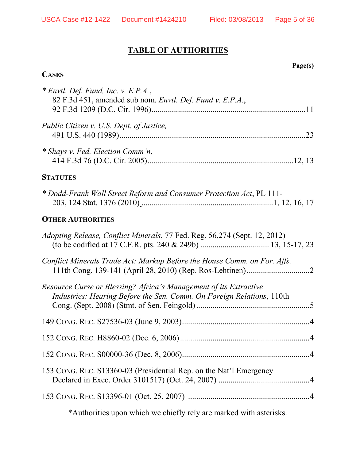# **TABLE OF AUTHORITIES**

# **CASES**

**Page(s)**

| * Shays v. Fed. Election Comm'n,<br><b>STATUTES</b><br>* Dodd-Frank Wall Street Reform and Consumer Protection Act, PL 111-<br><b>OTHER AUTHORITIES</b><br>Conflict Minerals Trade Act: Markup Before the House Comm. on For. Affs.<br>Industries: Hearing Before the Sen. Comm. On Foreign Relations, 110th | * Envtl. Def. Fund, Inc. v. E.P.A.,<br>82 F.3d 451, amended sub nom. Envtl. Def. Fund v. E.P.A., |
|--------------------------------------------------------------------------------------------------------------------------------------------------------------------------------------------------------------------------------------------------------------------------------------------------------------|--------------------------------------------------------------------------------------------------|
|                                                                                                                                                                                                                                                                                                              | Public Citizen v. U.S. Dept. of Justice,                                                         |
|                                                                                                                                                                                                                                                                                                              |                                                                                                  |
|                                                                                                                                                                                                                                                                                                              |                                                                                                  |
|                                                                                                                                                                                                                                                                                                              |                                                                                                  |
|                                                                                                                                                                                                                                                                                                              |                                                                                                  |
|                                                                                                                                                                                                                                                                                                              | Adopting Release, Conflict Minerals, 77 Fed. Reg. 56,274 (Sept. 12, 2012)                        |
|                                                                                                                                                                                                                                                                                                              |                                                                                                  |
|                                                                                                                                                                                                                                                                                                              | Resource Curse or Blessing? Africa's Management of its Extractive                                |
|                                                                                                                                                                                                                                                                                                              |                                                                                                  |
|                                                                                                                                                                                                                                                                                                              |                                                                                                  |
|                                                                                                                                                                                                                                                                                                              |                                                                                                  |
|                                                                                                                                                                                                                                                                                                              | 153 CONG. REC. S13360-03 (Presidential Rep. on the Nat'l Emergency                               |
|                                                                                                                                                                                                                                                                                                              |                                                                                                  |

\*Authorities upon which we chiefly rely are marked with asterisks.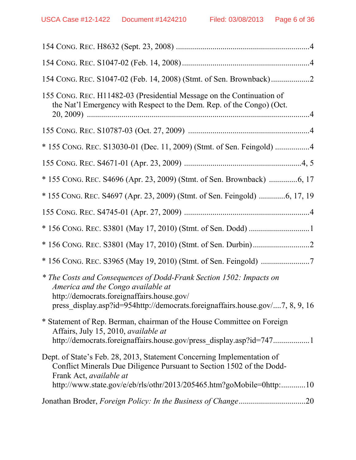| 155 CONG. REC. H11482-03 (Presidential Message on the Continuation of<br>the Nat'l Emergency with Respect to the Dem. Rep. of the Congo) (Oct.                                                                                                     |
|----------------------------------------------------------------------------------------------------------------------------------------------------------------------------------------------------------------------------------------------------|
|                                                                                                                                                                                                                                                    |
| * 155 CONG. REC. S13030-01 (Dec. 11, 2009) (Stmt. of Sen. Feingold) 4                                                                                                                                                                              |
|                                                                                                                                                                                                                                                    |
|                                                                                                                                                                                                                                                    |
|                                                                                                                                                                                                                                                    |
|                                                                                                                                                                                                                                                    |
|                                                                                                                                                                                                                                                    |
|                                                                                                                                                                                                                                                    |
|                                                                                                                                                                                                                                                    |
| * The Costs and Consequences of Dodd-Frank Section 1502: Impacts on<br>America and the Congo available at<br>http://democrats.foreignaffairs.house.gov/<br>press display.asp?id=954http://democrats.foreignaffairs.house.gov/7, 8, 9, 16           |
| * Statement of Rep. Berman, chairman of the House Committee on Foreign<br>Affairs, July 15, 2010, available at<br>http://democrats.foreignaffairs.house.gov/press_display.asp?id=7471                                                              |
| Dept. of State's Feb. 28, 2013, Statement Concerning Implementation of<br>Conflict Minerals Due Diligence Pursuant to Section 1502 of the Dodd-<br>Frank Act, available at<br>http://www.state.gov/e/eb/rls/othr/2013/205465.htm?goMobile=0http:10 |
|                                                                                                                                                                                                                                                    |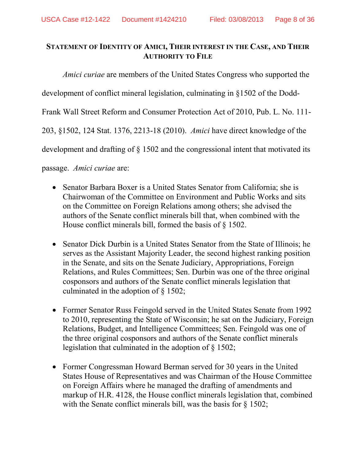# **STATEMENT OF IDENTITY OF AMICI, THEIR INTEREST IN THE CASE, AND THEIR AUTHORITY TO FILE**

*Amici curiae* are members of the United States Congress who supported the development of conflict mineral legislation, culminating in §1502 of the Dodd-Frank Wall Street Reform and Consumer Protection Act of 2010, Pub. L. No. 111- 203, §1502, 124 Stat. 1376, 2213-18 (2010). *Amici* have direct knowledge of the development and drafting of § 1502 and the congressional intent that motivated its

passage. *Amici curiae* are:

- Senator Barbara Boxer is a United States Senator from California; she is Chairwoman of the Committee on Environment and Public Works and sits on the Committee on Foreign Relations among others; she advised the authors of the Senate conflict minerals bill that, when combined with the House conflict minerals bill, formed the basis of § 1502.
- Senator Dick Durbin is a United States Senator from the State of Illinois; he serves as the Assistant Majority Leader, the second highest ranking position in the Senate, and sits on the Senate Judiciary, Appropriations, Foreign Relations, and Rules Committees; Sen. Durbin was one of the three original cosponsors and authors of the Senate conflict minerals legislation that culminated in the adoption of § 1502;
- Former Senator Russ Feingold served in the United States Senate from 1992 to 2010, representing the State of Wisconsin; he sat on the Judiciary, Foreign Relations, Budget, and Intelligence Committees; Sen. Feingold was one of the three original cosponsors and authors of the Senate conflict minerals legislation that culminated in the adoption of § 1502;
- Former Congressman Howard Berman served for 30 years in the United States House of Representatives and was Chairman of the House Committee on Foreign Affairs where he managed the drafting of amendments and markup of H.R. 4128, the House conflict minerals legislation that, combined with the Senate conflict minerals bill, was the basis for § 1502;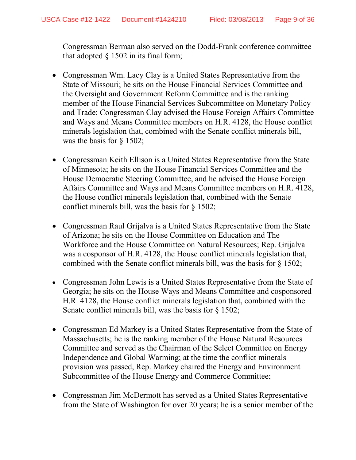Congressman Berman also served on the Dodd-Frank conference committee that adopted  $\S$  1502 in its final form;

- Congressman Wm. Lacy Clay is a United States Representative from the State of Missouri; he sits on the House Financial Services Committee and the Oversight and Government Reform Committee and is the ranking member of the House Financial Services Subcommittee on Monetary Policy and Trade; Congressman Clay advised the House Foreign Affairs Committee and Ways and Means Committee members on H.R. 4128, the House conflict minerals legislation that, combined with the Senate conflict minerals bill, was the basis for § 1502;
- Congressman Keith Ellison is a United States Representative from the State of Minnesota; he sits on the House Financial Services Committee and the House Democratic Steering Committee, and he advised the House Foreign Affairs Committee and Ways and Means Committee members on H.R. 4128, the House conflict minerals legislation that, combined with the Senate conflict minerals bill, was the basis for § 1502;
- Congressman Raul Grijalva is a United States Representative from the State of Arizona; he sits on the House Committee on Education and The Workforce and the House Committee on Natural Resources; Rep. Grijalva was a cosponsor of H.R. 4128, the House conflict minerals legislation that, combined with the Senate conflict minerals bill, was the basis for § 1502;
- Congressman John Lewis is a United States Representative from the State of Georgia; he sits on the House Ways and Means Committee and cosponsored H.R. 4128, the House conflict minerals legislation that, combined with the Senate conflict minerals bill, was the basis for § 1502;
- Congressman Ed Markey is a United States Representative from the State of Massachusetts; he is the ranking member of the House Natural Resources Committee and served as the Chairman of the Select Committee on Energy Independence and Global Warming; at the time the conflict minerals provision was passed, Rep. Markey chaired the Energy and Environment Subcommittee of the House Energy and Commerce Committee;
- Congressman Jim McDermott has served as a United States Representative from the State of Washington for over 20 years; he is a senior member of the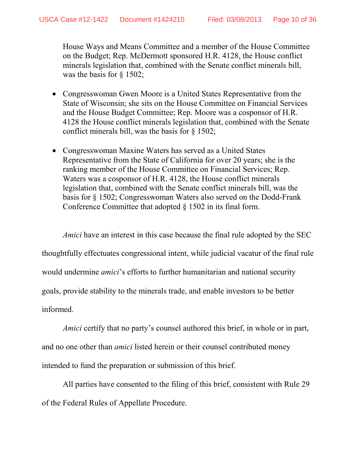House Ways and Means Committee and a member of the House Committee on the Budget; Rep. McDermott sponsored H.R. 4128, the House conflict minerals legislation that, combined with the Senate conflict minerals bill, was the basis for § 1502;

- Congresswoman Gwen Moore is a United States Representative from the State of Wisconsin; she sits on the House Committee on Financial Services and the House Budget Committee; Rep. Moore was a cosponsor of H.R. 4128 the House conflict minerals legislation that, combined with the Senate conflict minerals bill, was the basis for § 1502;
- Congresswoman Maxine Waters has served as a United States Representative from the State of California for over 20 years; she is the ranking member of the House Committee on Financial Services; Rep. Waters was a cosponsor of H.R. 4128, the House conflict minerals legislation that, combined with the Senate conflict minerals bill, was the basis for § 1502; Congresswoman Waters also served on the Dodd-Frank Conference Committee that adopted § 1502 in its final form.

*Amici* have an interest in this case because the final rule adopted by the SEC thoughtfully effectuates congressional intent, while judicial vacatur of the final rule would undermine *amici*'s efforts to further humanitarian and national security goals, provide stability to the minerals trade, and enable investors to be better informed.

*Amici* certify that no party's counsel authored this brief, in whole or in part, and no one other than *amici* listed herein or their counsel contributed money intended to fund the preparation or submission of this brief.

All parties have consented to the filing of this brief, consistent with Rule 29 of the Federal Rules of Appellate Procedure.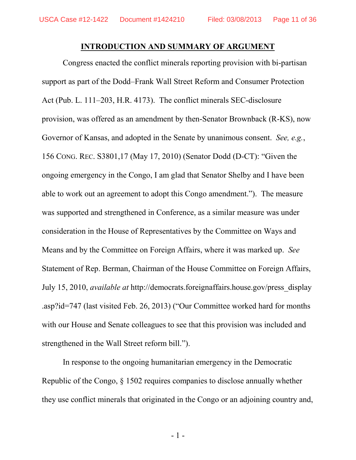#### **INTRODUCTION AND SUMMARY OF ARGUMENT**

<span id="page-10-0"></span>Congress enacted the conflict minerals reporting provision with bi-partisan support as part of the Dodd–Frank Wall Street Reform and Consumer Protection Act (Pub. L. 111–203, H.R. 4173). The conflict minerals SEC-disclosure provision, was offered as an amendment by then-Senator Brownback (R-KS), now Governor of Kansas, and adopted in the Senate by unanimous consent. *See, e.g.*, 156 CONG. REC. S3801,17 (May 17, 2010) (Senator Dodd (D-CT): "Given the ongoing emergency in the Congo, I am glad that Senator Shelby and I have been able to work out an agreement to adopt this Congo amendment."). The measure was supported and strengthened in Conference, as a similar measure was under consideration in the House of Representatives by the Committee on Ways and Means and by the Committee on Foreign Affairs, where it was marked up. *See* Statement of Rep. Berman, Chairman of the House Committee on Foreign Affairs, July 15, 2010, *available at* http://democrats.foreignaffairs.house.gov/press\_display .asp?id=747 (last visited Feb. 26, 2013) ("Our Committee worked hard for months with our House and Senate colleagues to see that this provision was included and strengthened in the Wall Street reform bill.").

<span id="page-10-1"></span>In response to the ongoing humanitarian emergency in the Democratic Republic of the Congo, § 1502 requires companies to disclose annually whether they use conflict minerals that originated in the Congo or an adjoining country and,

- 1 -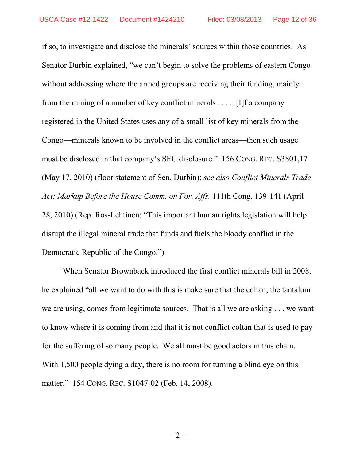<span id="page-11-2"></span>if so, to investigate and disclose the minerals' sources within those countries. As Senator Durbin explained, "we can't begin to solve the problems of eastern Congo without addressing where the armed groups are receiving their funding, mainly from the mining of a number of key conflict minerals . . . . [I]f a company registered in the United States uses any of a small list of key minerals from the Congo—minerals known to be involved in the conflict areas—then such usage must be disclosed in that company's SEC disclosure." 156 CONG. REC. S3801,17 (May 17, 2010) (floor statement of Sen. Durbin); *see also Conflict Minerals Trade Act: Markup Before the House Comm. on For. Affs.* 111th Cong. 139-141 (April 28, 2010) (Rep. Ros-Lehtinen: "This important human rights legislation will help disrupt the illegal mineral trade that funds and fuels the bloody conflict in the Democratic Republic of the Congo.")

<span id="page-11-1"></span><span id="page-11-0"></span>When Senator Brownback introduced the first conflict minerals bill in 2008, he explained "all we want to do with this is make sure that the coltan, the tantalum we are using, comes from legitimate sources. That is all we are asking . . . we want to know where it is coming from and that it is not conflict coltan that is used to pay for the suffering of so many people. We all must be good actors in this chain. With 1,500 people dying a day, there is no room for turning a blind eye on this matter." 154 CONG. REC. S1047-02 (Feb. 14, 2008).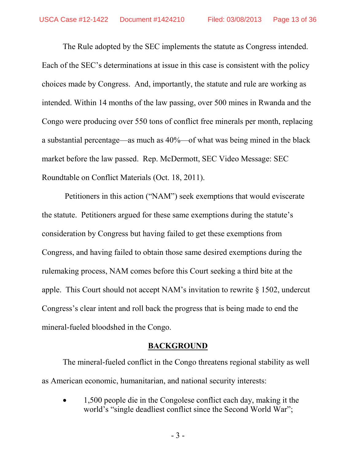The Rule adopted by the SEC implements the statute as Congress intended. Each of the SEC's determinations at issue in this case is consistent with the policy choices made by Congress. And, importantly, the statute and rule are working as intended. Within 14 months of the law passing, over 500 mines in Rwanda and the Congo were producing over 550 tons of conflict free minerals per month, replacing a substantial percentage—as much as 40%—of what was being mined in the black market before the law passed. Rep. McDermott, SEC Video Message: SEC Roundtable on Conflict Materials (Oct. 18, 2011).

Petitioners in this action ("NAM") seek exemptions that would eviscerate the statute. Petitioners argued for these same exemptions during the statute's consideration by Congress but having failed to get these exemptions from Congress, and having failed to obtain those same desired exemptions during the rulemaking process, NAM comes before this Court seeking a third bite at the apple. This Court should not accept NAM's invitation to rewrite § 1502, undercut Congress's clear intent and roll back the progress that is being made to end the mineral-fueled bloodshed in the Congo.

### **BACKGROUND**

The mineral-fueled conflict in the Congo threatens regional stability as well as American economic, humanitarian, and national security interests:

• 1,500 people die in the Congolese conflict each day, making it the world's "single deadliest conflict since the Second World War";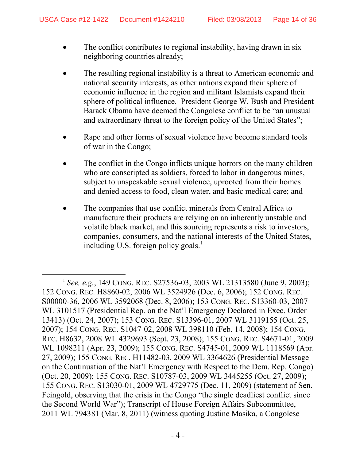- The conflict contributes to regional instability, having drawn in six neighboring countries already;
- The resulting regional instability is a threat to American economic and national security interests, as other nations expand their sphere of economic influence in the region and militant Islamists expand their sphere of political influence. President George W. Bush and President Barack Obama have deemed the Congolese conflict to be "an unusual and extraordinary threat to the foreign policy of the United States";
- Rape and other forms of sexual violence have become standard tools of war in the Congo;
- The conflict in the Congo inflicts unique horrors on the many children who are conscripted as soldiers, forced to labor in dangerous mines, subject to unspeakable sexual violence, uprooted from their homes and denied access to food, clean water, and basic medical care; and
- <span id="page-13-2"></span>• The companies that use conflict minerals from Central Africa to manufacture their products are relying on an inherently unstable and volatile black market, and this sourcing represents a risk to investors, companies, consumers, and the national interests of the United States, including U.S. foreign policy goals. [1](#page-13-12)

<span id="page-13-12"></span><span id="page-13-11"></span><span id="page-13-10"></span><span id="page-13-9"></span><span id="page-13-8"></span><span id="page-13-7"></span><span id="page-13-6"></span><span id="page-13-5"></span><span id="page-13-4"></span><span id="page-13-3"></span><span id="page-13-1"></span><span id="page-13-0"></span> <sup>1</sup> *See, e.g.*, 149 CONG. REC. S27536-03, 2003 WL 21313580 (June 9, 2003); 152 CONG. REC. H8860-02, 2006 WL 3524926 (Dec. 6, 2006); 152 CONG. REC. S00000-36, 2006 WL 3592068 (Dec. 8, 2006); 153 CONG. REC. S13360-03, 2007 WL 3101517 (Presidential Rep. on the Nat'l Emergency Declared in Exec. Order 13413) (Oct. 24, 2007); 153 CONG. REC. S13396-01, 2007 WL 3119155 (Oct. 25, 2007); 154 CONG. REC. S1047-02, 2008 WL 398110 (Feb. 14, 2008); 154 CONG. REC. H8632, 2008 WL 4329693 (Sept. 23, 2008); 155 CONG. REC. S4671-01, 2009 WL 1098211 (Apr. 23, 2009); 155 CONG. REC. S4745-01, 2009 WL 1118569 (Apr. 27, 2009); 155 CONG. REC. H11482-03, 2009 WL 3364626 (Presidential Message on the Continuation of the Nat'l Emergency with Respect to the Dem. Rep. Congo) (Oct. 20, 2009); 155 CONG. REC. S10787-03, 2009 WL 3445255 (Oct. 27, 2009); 155 CONG. REC. S13030-01, 2009 WL 4729775 (Dec. 11, 2009) (statement of Sen. Feingold, observing that the crisis in the Congo "the single deadliest conflict since the Second World War"); Transcript of House Foreign Affairs Subcommittee, 2011 WL 794381 (Mar. 8, 2011) (witness quoting Justine Masika, a Congolese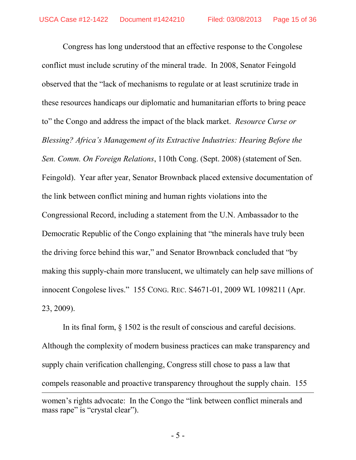<span id="page-14-0"></span>Congress has long understood that an effective response to the Congolese conflict must include scrutiny of the mineral trade. In 2008, Senator Feingold observed that the "lack of mechanisms to regulate or at least scrutinize trade in these resources handicaps our diplomatic and humanitarian efforts to bring peace to" the Congo and address the impact of the black market. *Resource Curse or Blessing? Africa's Management of its Extractive Industries: Hearing Before the Sen. Comm. On Foreign Relations*, 110th Cong. (Sept. 2008) (statement of Sen. Feingold). Year after year, Senator Brownback placed extensive documentation of the link between conflict mining and human rights violations into the Congressional Record, including a statement from the U.N. Ambassador to the Democratic Republic of the Congo explaining that "the minerals have truly been the driving force behind this war," and Senator Brownback concluded that "by making this supply-chain more translucent, we ultimately can help save millions of innocent Congolese lives." 155 CONG. REC. S4671-01, 2009 WL 1098211 (Apr. 23, 2009).

<span id="page-14-2"></span><span id="page-14-1"></span>In its final form, § 1502 is the result of conscious and careful decisions. Although the complexity of modern business practices can make transparency and supply chain verification challenging, Congress still chose to pass a law that compels reasonable and proactive transparency throughout the supply chain. 155  $\overline{a}$ women's rights advocate: In the Congo the "link between conflict minerals and mass rape" is "crystal clear").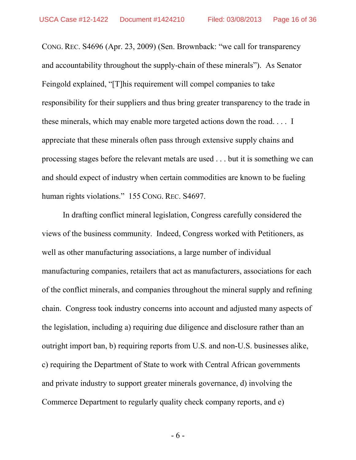CONG. REC. S4696 (Apr. 23, 2009) (Sen. Brownback: "we call for transparency and accountability throughout the supply-chain of these minerals"). As Senator Feingold explained, "[T]his requirement will compel companies to take responsibility for their suppliers and thus bring greater transparency to the trade in these minerals, which may enable more targeted actions down the road. . . . I appreciate that these minerals often pass through extensive supply chains and processing stages before the relevant metals are used . . . but it is something we can and should expect of industry when certain commodities are known to be fueling human rights violations." 155 CONG. REC. S4697.

<span id="page-15-0"></span>In drafting conflict mineral legislation, Congress carefully considered the views of the business community. Indeed, Congress worked with Petitioners, as well as other manufacturing associations, a large number of individual manufacturing companies, retailers that act as manufacturers, associations for each of the conflict minerals, and companies throughout the mineral supply and refining chain. Congress took industry concerns into account and adjusted many aspects of the legislation, including a) requiring due diligence and disclosure rather than an outright import ban, b) requiring reports from U.S. and non-U.S. businesses alike, c) requiring the Department of State to work with Central African governments and private industry to support greater minerals governance, d) involving the Commerce Department to regularly quality check company reports, and e)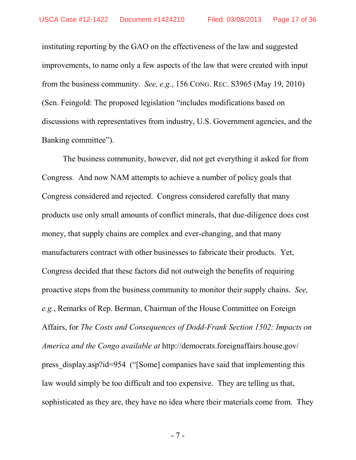<span id="page-16-0"></span>instituting reporting by the GAO on the effectiveness of the law and suggested improvements, to name only a few aspects of the law that were created with input from the business community. *See, e.g.*, 156 CONG. REC. S3965 (May 19, 2010) (Sen. Feingold: The proposed legislation "includes modifications based on discussions with representatives from industry, U.S. Government agencies, and the Banking committee").

<span id="page-16-1"></span>The business community, however, did not get everything it asked for from Congress. And now NAM attempts to achieve a number of policy goals that Congress considered and rejected. Congress considered carefully that many products use only small amounts of conflict minerals, that due-diligence does cost money, that supply chains are complex and ever-changing, and that many manufacturers contract with other businesses to fabricate their products. Yet, Congress decided that these factors did not outweigh the benefits of requiring proactive steps from the business community to monitor their supply chains. *See, e.g.*, Remarks of Rep. Berman, Chairman of the House Committee on Foreign Affairs, for *The Costs and Consequences of Dodd-Frank Section 1502: Impacts on America and the Congo available at* http://democrats.foreignaffairs.house.gov/ press\_display.asp?id=954 ("[Some] companies have said that implementing this law would simply be too difficult and too expensive. They are telling us that, sophisticated as they are, they have no idea where their materials come from. They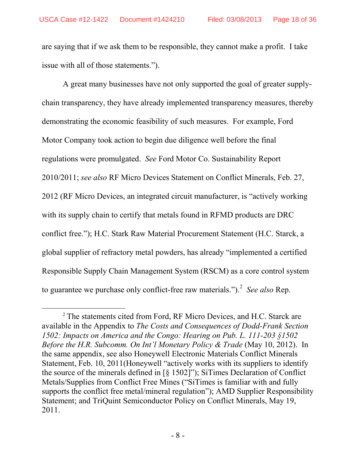are saying that if we ask them to be responsible, they cannot make a profit. I take issue with all of those statements.").

A great many businesses have not only supported the goal of greater supplychain transparency, they have already implemented transparency measures, thereby demonstrating the economic feasibility of such measures. For example, Ford Motor Company took action to begin due diligence well before the final regulations were promulgated. *See* Ford Motor Co. Sustainability Report 2010/2011; *see also* RF Micro Devices Statement on Conflict Minerals, Feb. 27, 2012 (RF Micro Devices, an integrated circuit manufacturer, is "actively working with its supply chain to certify that metals found in RFMD products are DRC conflict free."); H.C. Stark Raw Material Procurement Statement (H.C. Starck, a global supplier of refractory metal powders, has already "implemented a certified Responsible Supply Chain Management System (RSCM) as a core control system to guarantee we purchase only conflict-free raw materials.").<sup>[2](#page-17-0)</sup> See also Rep.

<span id="page-17-0"></span><sup>&</sup>lt;sup>2</sup> The statements cited from Ford, RF Micro Devices, and H.C. Starck are available in the Appendix to *The Costs and Consequences of Dodd-Frank Section 1502: Impacts on America and the Congo: Hearing on Pub. L. 111-203 §1502 Before the H.R. Subcomm. On Int'l Monetary Policy & Trade (May 10, 2012). In* the same appendix, see also Honeywell Electronic Materials Conflict Minerals Statement, Feb. 10, 2011(Honeywell "actively works with its suppliers to identify the source of the minerals defined in [§ 1502]"); SiTimes Declaration of Conflict Metals/Supplies from Conflict Free Mines ("SiTimes is familiar with and fully supports the conflict free metal/mineral regulation"); AMD Supplier Responsibility Statement; and TriQuint Semiconductor Policy on Conflict Minerals, May 19, 2011.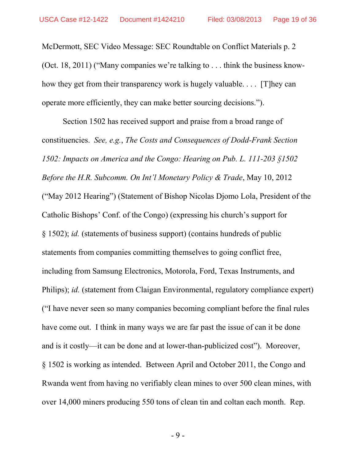McDermott, SEC Video Message: SEC Roundtable on Conflict Materials p. 2 (Oct. 18, 2011) ("Many companies we're talking to . . . think the business knowhow they get from their transparency work is hugely valuable. . . . [T]hey can operate more efficiently, they can make better sourcing decisions.").

Section 1502 has received support and praise from a broad range of constituencies. *See, e.g.*, *The Costs and Consequences of Dodd-Frank Section 1502: Impacts on America and the Congo: Hearing on Pub. L. 111-203 §1502 Before the H.R. Subcomm. On Int'l Monetary Policy & Trade*, May 10, 2012 ("May 2012 Hearing") (Statement of Bishop Nicolas Djomo Lola, President of the Catholic Bishops' Conf. of the Congo) (expressing his church's support for § 1502); *id.* (statements of business support) (contains hundreds of public statements from companies committing themselves to going conflict free, including from Samsung Electronics, Motorola, Ford, Texas Instruments, and Philips); *id.* (statement from Claigan Environmental, regulatory compliance expert) ("I have never seen so many companies becoming compliant before the final rules have come out. I think in many ways we are far past the issue of can it be done and is it costly—it can be done and at lower-than-publicized cost"). Moreover, § 1502 is working as intended. Between April and October 2011, the Congo and Rwanda went from having no verifiably clean mines to over 500 clean mines, with over 14,000 miners producing 550 tons of clean tin and coltan each month. Rep.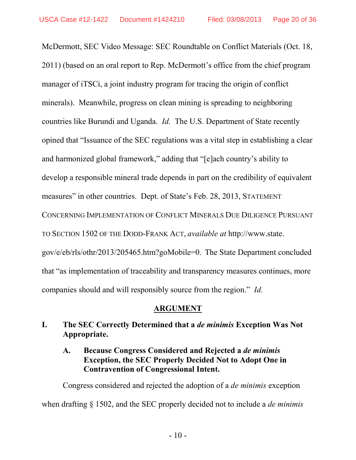McDermott, SEC Video Message: SEC Roundtable on Conflict Materials (Oct. 18, 2011) (based on an oral report to Rep. McDermott's office from the chief program manager of iTSCi, a joint industry program for tracing the origin of conflict minerals). Meanwhile, progress on clean mining is spreading to neighboring countries like Burundi and Uganda. *Id.* The U.S. Department of State recently opined that "Issuance of the SEC regulations was a vital step in establishing a clear and harmonized global framework," adding that "[e]ach country's ability to develop a responsible mineral trade depends in part on the credibility of equivalent measures" in other countries. Dept. of State's Feb. 28, 2013, STATEMENT CONCERNING IMPLEMENTATION OF CONFLICT MINERALS DUE DILIGENCE PURSUANT TO SECTION 1502 OF THE DODD-FRANK ACT, *available at* http://www.state. gov/e/eb/rls/othr/2013/205465.htm?goMobile=0. The State Department concluded that "as implementation of traceability and transparency measures continues, more companies should and will responsibly source from the region." *Id.*

# <span id="page-19-0"></span>**ARGUMENT**

# **I. The SEC Correctly Determined that a** *de minimis* **Exception Was Not Appropriate.**

# **A. Because Congress Considered and Rejected a** *de minimis* **Exception, the SEC Properly Decided Not to Adopt One in Contravention of Congressional Intent.**

Congress considered and rejected the adoption of a *de minimis* exception when drafting § 1502, and the SEC properly decided not to include a *de minimis*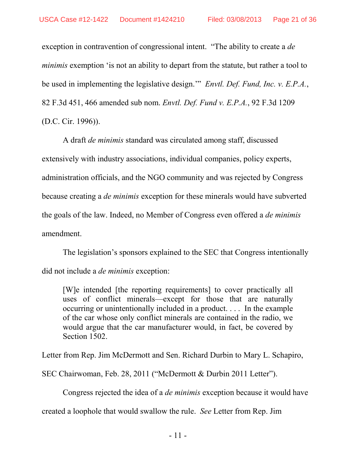exception in contravention of congressional intent. "The ability to create a *de minimis* exemption 'is not an ability to depart from the statute, but rather a tool to be used in implementing the legislative design.'" *Envtl. Def. Fund, Inc. v. E.P.A.*, 82 F.3d 451, 466 amended sub nom. *Envtl. Def. Fund v. E.P.A.*, 92 F.3d 1209 (D.C. Cir. 1996)).

<span id="page-20-0"></span>A draft *de minimis* standard was circulated among staff, discussed extensively with industry associations, individual companies, policy experts, administration officials, and the NGO community and was rejected by Congress because creating a *de minimis* exception for these minerals would have subverted the goals of the law. Indeed, no Member of Congress even offered a *de minimis* amendment.

The legislation's sponsors explained to the SEC that Congress intentionally did not include a *de minimis* exception:

[W]e intended [the reporting requirements] to cover practically all uses of conflict minerals—except for those that are naturally occurring or unintentionally included in a product. . . . In the example of the car whose only conflict minerals are contained in the radio, we would argue that the car manufacturer would, in fact, be covered by Section 1502.

Letter from Rep. Jim McDermott and Sen. Richard Durbin to Mary L. Schapiro,

SEC Chairwoman, Feb. 28, 2011 ("McDermott & Durbin 2011 Letter").

Congress rejected the idea of a *de minimis* exception because it would have

created a loophole that would swallow the rule. *See* Letter from Rep. Jim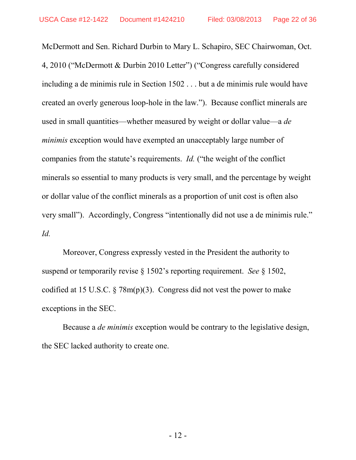McDermott and Sen. Richard Durbin to Mary L. Schapiro, SEC Chairwoman, Oct. 4, 2010 ("McDermott & Durbin 2010 Letter") ("Congress carefully considered including a de minimis rule in Section 1502 . . . but a de minimis rule would have created an overly generous loop-hole in the law."). Because conflict minerals are used in small quantities—whether measured by weight or dollar value—a *de minimis* exception would have exempted an unacceptably large number of companies from the statute's requirements. *Id.* ("the weight of the conflict minerals so essential to many products is very small, and the percentage by weight or dollar value of the conflict minerals as a proportion of unit cost is often also very small"). Accordingly, Congress "intentionally did not use a de minimis rule." *Id.*

Moreover, Congress expressly vested in the President the authority to suspend or temporarily revise § 1502's reporting requirement. *See* § 1502, codified at 15 U.S.C.  $\S 78m(p)(3)$ . Congress did not vest the power to make exceptions in the SEC.

Because a *de minimis* exception would be contrary to the legislative design, the SEC lacked authority to create one.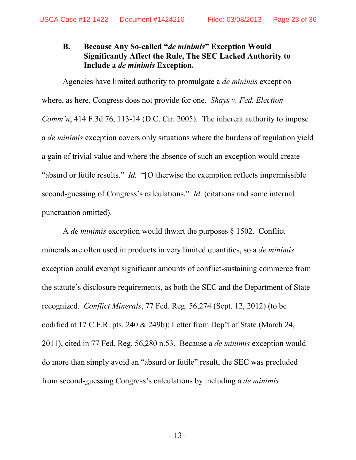# <span id="page-22-0"></span>**B. Because Any So-called "***de minimis***" Exception Would Significantly Affect the Rule, The SEC Lacked Authority to Include a** *de minimis* **Exception.**

Agencies have limited authority to promulgate a *de minimis* exception where, as here, Congress does not provide for one. *Shays v. Fed. Election Comm'n*, 414 F.3d 76, 113-14 (D.C. Cir. 2005). The inherent authority to impose a *de minimis* exception covers only situations where the burdens of regulation yield a gain of trivial value and where the absence of such an exception would create "absurd or futile results." *Id.* "[O]therwise the exemption reflects impermissible second-guessing of Congress's calculations." *Id.* (citations and some internal punctuation omitted).

<span id="page-22-1"></span>A *de minimis* exception would thwart the purposes § 1502. Conflict minerals are often used in products in very limited quantities, so a *de minimis* exception could exempt significant amounts of conflict-sustaining commerce from the statute's disclosure requirements, as both the SEC and the Department of State recognized. *Conflict Minerals*, 77 Fed. Reg. 56,274 (Sept. 12, 2012) (to be codified at 17 C.F.R. pts. 240 & 249b); Letter from Dep't of State (March 24, 2011), cited in 77 Fed. Reg. 56,280 n.53. Because a *de minimis* exception would do more than simply avoid an "absurd or futile" result, the SEC was precluded from second-guessing Congress's calculations by including a *de minimis*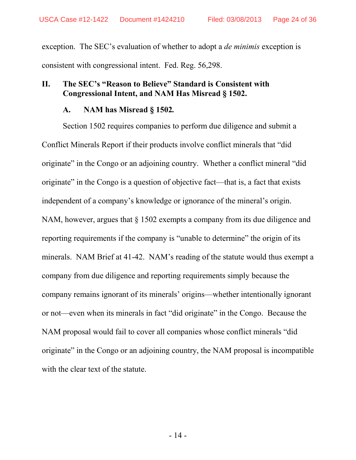exception. The SEC's evaluation of whether to adopt a *de minimis* exception is consistent with congressional intent. Fed. Reg. 56,298.

# **II. The SEC's "Reason to Believe" Standard is Consistent with Congressional Intent, and NAM Has Misread § 1502.**

# **A. NAM has Misread § 1502***.*

Section 1502 requires companies to perform due diligence and submit a Conflict Minerals Report if their products involve conflict minerals that "did originate" in the Congo or an adjoining country. Whether a conflict mineral "did originate" in the Congo is a question of objective fact—that is, a fact that exists independent of a company's knowledge or ignorance of the mineral's origin. NAM, however, argues that  $\S 1502$  exempts a company from its due diligence and reporting requirements if the company is "unable to determine" the origin of its minerals. NAM Brief at 41-42. NAM's reading of the statute would thus exempt a company from due diligence and reporting requirements simply because the company remains ignorant of its minerals' origins—whether intentionally ignorant or not—even when its minerals in fact "did originate" in the Congo. Because the NAM proposal would fail to cover all companies whose conflict minerals "did originate" in the Congo or an adjoining country, the NAM proposal is incompatible with the clear text of the statute.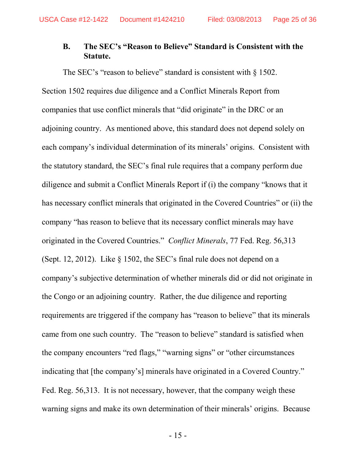# **B. The SEC's "Reason to Believe" Standard is Consistent with the Statute.**

The SEC's "reason to believe" standard is consistent with § 1502. Section 1502 requires due diligence and a Conflict Minerals Report from companies that use conflict minerals that "did originate" in the DRC or an adjoining country. As mentioned above, this standard does not depend solely on each company's individual determination of its minerals' origins. Consistent with the statutory standard, the SEC's final rule requires that a company perform due diligence and submit a Conflict Minerals Report if (i) the company "knows that it has necessary conflict minerals that originated in the Covered Countries" or (ii) the company "has reason to believe that its necessary conflict minerals may have originated in the Covered Countries." *Conflict Minerals*, 77 Fed. Reg. 56,313 (Sept. 12, 2012). Like  $\S$  1502, the SEC's final rule does not depend on a company's subjective determination of whether minerals did or did not originate in the Congo or an adjoining country. Rather, the due diligence and reporting requirements are triggered if the company has "reason to believe" that its minerals came from one such country. The "reason to believe" standard is satisfied when the company encounters "red flags," "warning signs" or "other circumstances indicating that [the company's] minerals have originated in a Covered Country." Fed. Reg. 56,313. It is not necessary, however, that the company weigh these warning signs and make its own determination of their minerals' origins. Because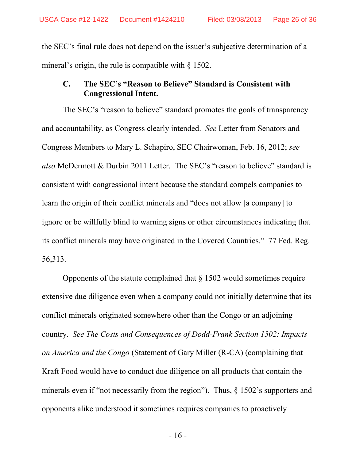the SEC's final rule does not depend on the issuer's subjective determination of a mineral's origin, the rule is compatible with § 1502.

# **C. The SEC's "Reason to Believe" Standard is Consistent with Congressional Intent.**

The SEC's "reason to believe" standard promotes the goals of transparency and accountability, as Congress clearly intended. *See* Letter from Senators and Congress Members to Mary L. Schapiro, SEC Chairwoman, Feb. 16, 2012; *see also* McDermott & Durbin 2011 Letter. The SEC's "reason to believe" standard is consistent with congressional intent because the standard compels companies to learn the origin of their conflict minerals and "does not allow [a company] to ignore or be willfully blind to warning signs or other circumstances indicating that its conflict minerals may have originated in the Covered Countries." 77 Fed. Reg. 56,313.

Opponents of the statute complained that § 1502 would sometimes require extensive due diligence even when a company could not initially determine that its conflict minerals originated somewhere other than the Congo or an adjoining country. *See The Costs and Consequences of Dodd-Frank Section 1502: Impacts on America and the Congo* (Statement of Gary Miller (R-CA) (complaining that Kraft Food would have to conduct due diligence on all products that contain the minerals even if "not necessarily from the region"). Thus,  $\S$  1502's supporters and opponents alike understood it sometimes requires companies to proactively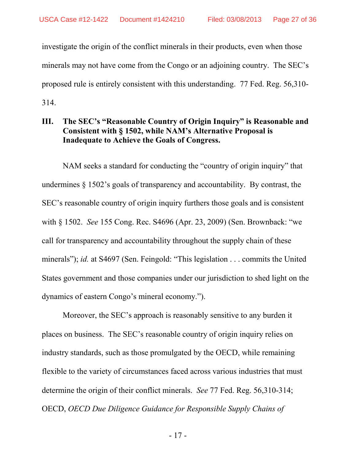investigate the origin of the conflict minerals in their products, even when those minerals may not have come from the Congo or an adjoining country. The SEC's proposed rule is entirely consistent with this understanding. 77 Fed. Reg. 56,310- 314.

# **III. The SEC's "Reasonable Country of Origin Inquiry" is Reasonable and Consistent with § 1502, while NAM's Alternative Proposal is Inadequate to Achieve the Goals of Congress.**

<span id="page-26-0"></span>NAM seeks a standard for conducting the "country of origin inquiry" that undermines § 1502's goals of transparency and accountability. By contrast, the SEC's reasonable country of origin inquiry furthers those goals and is consistent with § 1502. *See* 155 Cong. Rec. S4696 (Apr. 23, 2009) (Sen. Brownback: "we call for transparency and accountability throughout the supply chain of these minerals"); *id.* at S4697 (Sen. Feingold: "This legislation . . . commits the United States government and those companies under our jurisdiction to shed light on the dynamics of eastern Congo's mineral economy.").

<span id="page-26-1"></span>Moreover, the SEC's approach is reasonably sensitive to any burden it places on business. The SEC's reasonable country of origin inquiry relies on industry standards, such as those promulgated by the OECD, while remaining flexible to the variety of circumstances faced across various industries that must determine the origin of their conflict minerals. *See* 77 Fed. Reg. 56,310-314; OECD, *OECD Due Diligence Guidance for Responsible Supply Chains of* 

- 17 -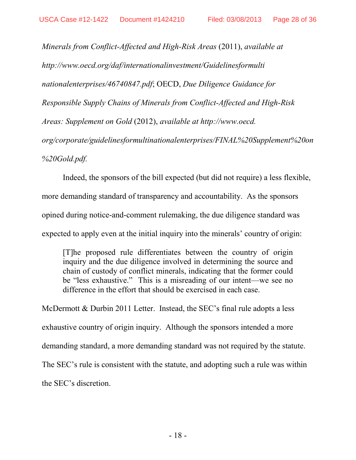<span id="page-27-0"></span>*Minerals from Conflict-Affected and High-Risk Areas* (2011), *available at http://www.oecd.org/daf/internationalinvestment/Guidelinesformulti nationalenterprises/46740847.pdf*; OECD, *Due Diligence Guidance for Responsible Supply Chains of Minerals from Conflict-Affected and High-Risk Areas: Supplement on Gold* (2012), *available at http://www.oecd. org/corporate/guidelinesformultinationalenterprises/FINAL%20Supplement%20on %20Gold.pdf.*

Indeed, the sponsors of the bill expected (but did not require) a less flexible, more demanding standard of transparency and accountability. As the sponsors opined during notice-and-comment rulemaking, the due diligence standard was expected to apply even at the initial inquiry into the minerals' country of origin:

[T]he proposed rule differentiates between the country of origin inquiry and the due diligence involved in determining the source and chain of custody of conflict minerals, indicating that the former could be "less exhaustive." This is a misreading of our intent—we see no difference in the effort that should be exercised in each case.

McDermott & Durbin 2011 Letter. Instead, the SEC's final rule adopts a less exhaustive country of origin inquiry. Although the sponsors intended a more demanding standard, a more demanding standard was not required by the statute. The SEC's rule is consistent with the statute, and adopting such a rule was within the SEC's discretion.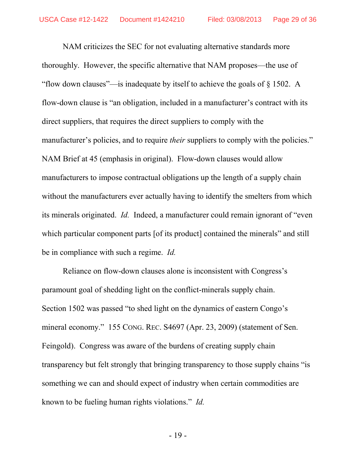NAM criticizes the SEC for not evaluating alternative standards more thoroughly. However, the specific alternative that NAM proposes—the use of "flow down clauses"—is inadequate by itself to achieve the goals of § 1502. A flow-down clause is "an obligation, included in a manufacturer's contract with its direct suppliers, that requires the direct suppliers to comply with the manufacturer's policies, and to require *their* suppliers to comply with the policies." NAM Brief at 45 (emphasis in original). Flow-down clauses would allow manufacturers to impose contractual obligations up the length of a supply chain without the manufacturers ever actually having to identify the smelters from which its minerals originated. *Id.* Indeed, a manufacturer could remain ignorant of "even which particular component parts [of its product] contained the minerals" and still be in compliance with such a regime. *Id.*

Reliance on flow-down clauses alone is inconsistent with Congress's paramount goal of shedding light on the conflict-minerals supply chain. Section 1502 was passed "to shed light on the dynamics of eastern Congo's mineral economy." 155 CONG. REC. S4697 (Apr. 23, 2009) (statement of Sen. Feingold). Congress was aware of the burdens of creating supply chain transparency but felt strongly that bringing transparency to those supply chains "is something we can and should expect of industry when certain commodities are known to be fueling human rights violations." *Id.*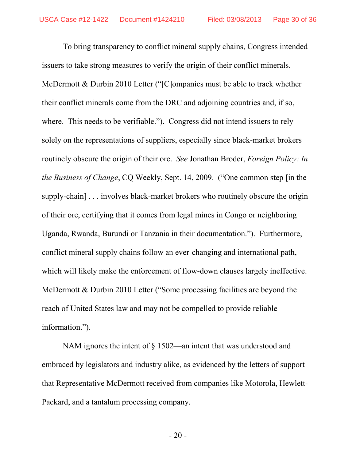<span id="page-29-0"></span>To bring transparency to conflict mineral supply chains, Congress intended issuers to take strong measures to verify the origin of their conflict minerals. McDermott & Durbin 2010 Letter ("[C]ompanies must be able to track whether their conflict minerals come from the DRC and adjoining countries and, if so, where. This needs to be verifiable."). Congress did not intend issuers to rely solely on the representations of suppliers, especially since black-market brokers routinely obscure the origin of their ore. *See* Jonathan Broder, *Foreign Policy: In the Business of Change*, CQ Weekly, Sept. 14, 2009. ("One common step [in the supply-chain] . . . involves black-market brokers who routinely obscure the origin of their ore, certifying that it comes from legal mines in Congo or neighboring Uganda, Rwanda, Burundi or Tanzania in their documentation."). Furthermore, conflict mineral supply chains follow an ever-changing and international path, which will likely make the enforcement of flow-down clauses largely ineffective. McDermott & Durbin 2010 Letter ("Some processing facilities are beyond the reach of United States law and may not be compelled to provide reliable information.").

NAM ignores the intent of § 1502—an intent that was understood and embraced by legislators and industry alike, as evidenced by the letters of support that Representative McDermott received from companies like Motorola, Hewlett-Packard, and a tantalum processing company.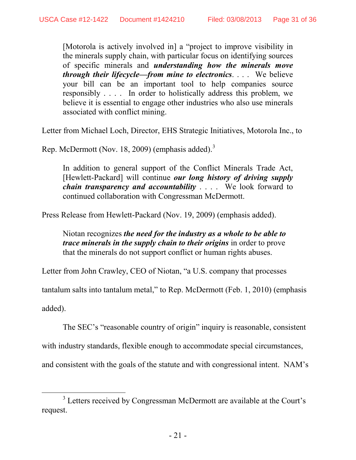[Motorola is actively involved in] a "project to improve visibility in the minerals supply chain, with particular focus on identifying sources of specific minerals and *understanding how the minerals move through their lifecycle—from mine to electronics*. . . . We believe your bill can be an important tool to help companies source responsibly . . . . In order to holistically address this problem, we believe it is essential to engage other industries who also use minerals associated with conflict mining.

Letter from Michael Loch, Director, EHS Strategic Initiatives, Motorola Inc., to

Rep. McDermott (Nov. 18, 2009) (emphasis added).<sup>[3](#page-30-0)</sup>

In addition to general support of the Conflict Minerals Trade Act, [Hewlett-Packard] will continue *our long history of driving supply chain transparency and accountability* . . . . We look forward to continued collaboration with Congressman McDermott.

Press Release from Hewlett-Packard (Nov. 19, 2009) (emphasis added).

Niotan recognizes *the need for the industry as a whole to be able to trace minerals in the supply chain to their origins* in order to prove that the minerals do not support conflict or human rights abuses.

Letter from John Crawley, CEO of Niotan, "a U.S. company that processes

tantalum salts into tantalum metal," to Rep. McDermott (Feb. 1, 2010) (emphasis

added).

The SEC's "reasonable country of origin" inquiry is reasonable, consistent

with industry standards, flexible enough to accommodate special circumstances,

and consistent with the goals of the statute and with congressional intent. NAM's

<span id="page-30-0"></span><sup>&</sup>lt;sup>3</sup> Letters received by Congressman McDermott are available at the Court's request.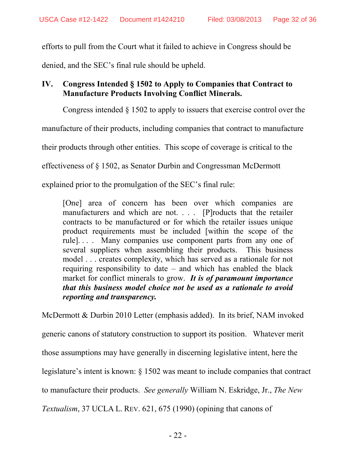efforts to pull from the Court what it failed to achieve in Congress should be

denied, and the SEC's final rule should be upheld.

# **IV. Congress Intended § 1502 to Apply to Companies that Contract to Manufacture Products Involving Conflict Minerals.**

Congress intended § 1502 to apply to issuers that exercise control over the

manufacture of their products, including companies that contract to manufacture

their products through other entities. This scope of coverage is critical to the

effectiveness of § 1502, as Senator Durbin and Congressman McDermott

explained prior to the promulgation of the SEC's final rule:

[One] area of concern has been over which companies are manufacturers and which are not. . . . [P]roducts that the retailer contracts to be manufactured or for which the retailer issues unique product requirements must be included [within the scope of the rule]. . . . Many companies use component parts from any one of several suppliers when assembling their products. This business model . . . creates complexity, which has served as a rationale for not requiring responsibility to date – and which has enabled the black market for conflict minerals to grow. *It is of paramount importance that this business model choice not be used as a rationale to avoid reporting and transparency.* 

McDermott & Durbin 2010 Letter (emphasis added). In its brief, NAM invoked

generic canons of statutory construction to support its position. Whatever merit

those assumptions may have generally in discerning legislative intent, here the

legislature's intent is known: § 1502 was meant to include companies that contract

<span id="page-31-0"></span>to manufacture their products. *See generally* William N. Eskridge, Jr., *The New* 

*Textualism*, 37 UCLA L. REV. 621, 675 (1990) (opining that canons of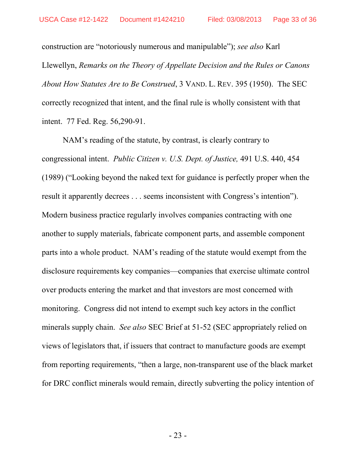<span id="page-32-1"></span>construction are "notoriously numerous and manipulable"); *see also* Karl Llewellyn, *Remarks on the Theory of Appellate Decision and the Rules or Canons About How Statutes Are to Be Construed*, 3 VAND. L. REV. 395 (1950). The SEC correctly recognized that intent, and the final rule is wholly consistent with that intent. 77 Fed. Reg. 56,290-91.

<span id="page-32-0"></span>NAM's reading of the statute, by contrast, is clearly contrary to congressional intent. *Public Citizen v. U.S. Dept. of Justice,* 491 U.S. 440, 454 (1989) ("Looking beyond the naked text for guidance is perfectly proper when the result it apparently decrees . . . seems inconsistent with Congress's intention"). Modern business practice regularly involves companies contracting with one another to supply materials, fabricate component parts, and assemble component parts into a whole product. NAM's reading of the statute would exempt from the disclosure requirements key companies—companies that exercise ultimate control over products entering the market and that investors are most concerned with monitoring. Congress did not intend to exempt such key actors in the conflict minerals supply chain. *See also* SEC Brief at 51-52 (SEC appropriately relied on views of legislators that, if issuers that contract to manufacture goods are exempt from reporting requirements, "then a large, non-transparent use of the black market for DRC conflict minerals would remain, directly subverting the policy intention of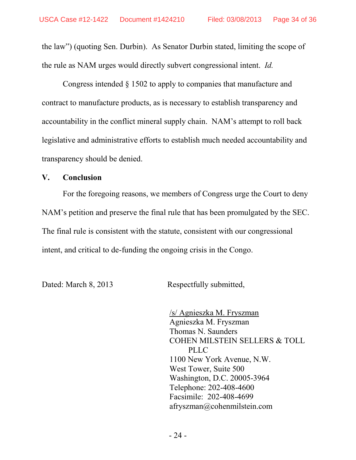the law") (quoting Sen. Durbin). As Senator Durbin stated, limiting the scope of the rule as NAM urges would directly subvert congressional intent. *Id.*

Congress intended § 1502 to apply to companies that manufacture and contract to manufacture products, as is necessary to establish transparency and accountability in the conflict mineral supply chain. NAM's attempt to roll back legislative and administrative efforts to establish much needed accountability and transparency should be denied.

#### **V. Conclusion**

For the foregoing reasons, we members of Congress urge the Court to deny NAM's petition and preserve the final rule that has been promulgated by the SEC. The final rule is consistent with the statute, consistent with our congressional intent, and critical to de-funding the ongoing crisis in the Congo.

Dated: March 8, 2013 Respectfully submitted,

/s/ Agnieszka M. Fryszman Agnieszka M. Fryszman Thomas N. Saunders COHEN MILSTEIN SELLERS & TOLL PLLC 1100 New York Avenue, N.W. West Tower, Suite 500 Washington, D.C. 20005-3964 Telephone: 202-408-4600 Facsimile: 202-408-4699 afryszman@cohenmilstein.com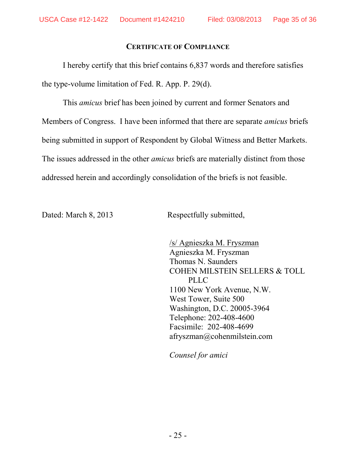## **CERTIFICATE OF COMPLIANCE**

I hereby certify that this brief contains 6,837 words and therefore satisfies the type-volume limitation of Fed. R. App. P. 29(d).

This *amicus* brief has been joined by current and former Senators and Members of Congress. I have been informed that there are separate *amicus* briefs being submitted in support of Respondent by Global Witness and Better Markets. The issues addressed in the other *amicus* briefs are materially distinct from those addressed herein and accordingly consolidation of the briefs is not feasible.

Dated: March 8, 2013 Respectfully submitted,

/s/ Agnieszka M. Fryszman Agnieszka M. Fryszman Thomas N. Saunders COHEN MILSTEIN SELLERS & TOLL PLLC 1100 New York Avenue, N.W. West Tower, Suite 500 Washington, D.C. 20005-3964 Telephone: 202-408-4600 Facsimile: 202-408-4699 afryszman@cohenmilstein.com

*Counsel for amici*